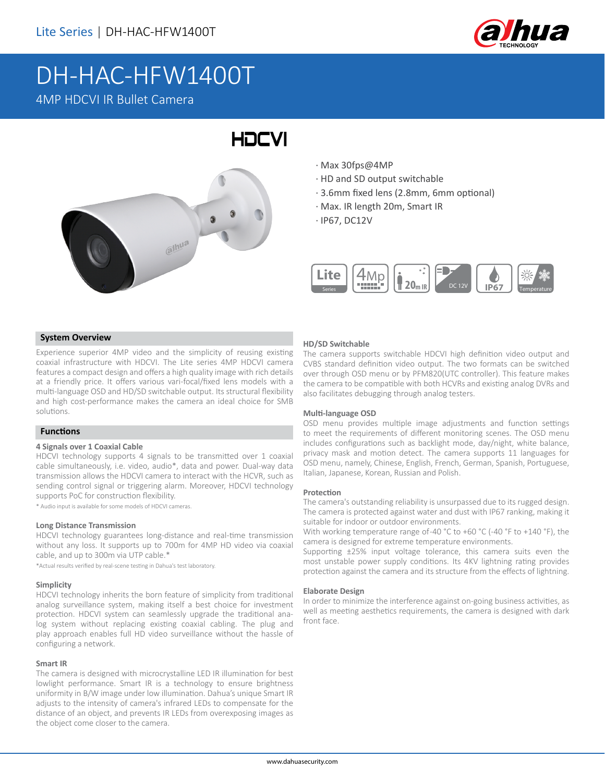

## DH-HAC-HFW1400T 4MP HDCVI IR Bullet Camera



- · Max 30fps@4MP
- · HD and SD output switchable
- · 3.6mm fixed lens (2.8mm, 6mm optional)
- · Max. IR length 20m, Smart IR
- · IP67, DC12V



#### **System Overview**

Experience superior 4MP video and the simplicity of reusing existing coaxial infrastructure with HDCVI. The Lite series 4MP HDCVI camera features a compact design and offers a high quality image with rich details at a friendly price. It offers various vari-focal/fixed lens models with a multi-language OSD and HD/SD switchable output. Its structural flexibility and high cost-performance makes the camera an ideal choice for SMB solutions.

#### **Functions**

#### **4 Signals over 1 Coaxial Cable**

HDCVI technology supports 4 signals to be transmitted over 1 coaxial cable simultaneously, i.e. video, audio\*, data and power. Dual-way data transmission allows the HDCVI camera to interact with the HCVR, such as sending control signal or triggering alarm. Moreover, HDCVI technology supports PoC for construction flexibility.

\* Audio input is available for some models of HDCVI cameras.

#### **Long Distance Transmission**

HDCVI technology guarantees long-distance and real-time transmission without any loss. It supports up to 700m for 4MP HD video via coaxial cable, and up to 300m via UTP cable.\*

\*Actual results verified by real-scene testing in Dahua's test laboratory.

#### **Simplicity**

HDCVI technology inherits the born feature of simplicity from traditional analog surveillance system, making itself a best choice for investment protection. HDCVI system can seamlessly upgrade the traditional analog system without replacing existing coaxial cabling. The plug and play approach enables full HD video surveillance without the hassle of configuring a network.

#### **Smart IR**

The camera is designed with microcrystalline LED IR illumination for best lowlight performance. Smart IR is a technology to ensure brightness uniformity in B/W image under low illumination. Dahua's unique Smart IR adjusts to the intensity of camera's infrared LEDs to compensate for the distance of an object, and prevents IR LEDs from overexposing images as the object come closer to the camera.

#### **HD/SD Switchable**

The camera supports switchable HDCVI high definition video output and CVBS standard definition video output. The two formats can be switched over through OSD menu or by PFM820(UTC controller). This feature makes the camera to be compatible with both HCVRs and existing analog DVRs and also facilitates debugging through analog testers.

#### **Multi-language OSD**

OSD menu provides multiple image adjustments and function settings to meet the requirements of different monitoring scenes. The OSD menu includes configurations such as backlight mode, day/night, white balance, privacy mask and motion detect. The camera supports 11 languages for OSD menu, namely, Chinese, English, French, German, Spanish, Portuguese, Italian, Japanese, Korean, Russian and Polish.

#### **Protection**

The camera's outstanding reliability is unsurpassed due to its rugged design. The camera is protected against water and dust with IP67 ranking, making it suitable for indoor or outdoor environments.

With working temperature range of-40 °C to +60 °C (-40 °F to +140 °F), the camera is designed for extreme temperature environments.

Supporting ±25% input voltage tolerance, this camera suits even the most unstable power supply conditions. Its 4KV lightning rating provides protection against the camera and its structure from the effects of lightning.

#### **Elaborate Design**

In order to minimize the interference against on-going business activities, as well as meeting aesthetics requirements, the camera is designed with dark front face.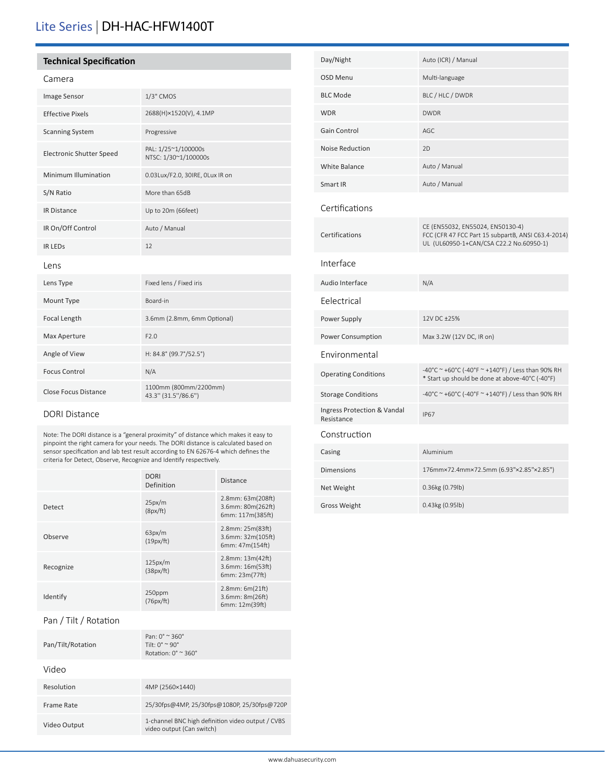## Lite Series | DH-HAC-HFW1400T

#### **Technical Specification**

#### Camera

| Image Sensor                    | 1/3" CMOS                                    |
|---------------------------------|----------------------------------------------|
| <b>Effective Pixels</b>         | 2688(H)×1520(V), 4.1MP                       |
| <b>Scanning System</b>          | Progressive                                  |
| <b>Electronic Shutter Speed</b> | PAL: 1/25~1/100000s<br>NTSC: 1/30~1/100000s  |
| Minimum Illumination            | 0.03Lux/F2.0, 30IRE, 0Lux IR on              |
| S/N Ratio                       | More than 65dB                               |
| <b>IR Distance</b>              | Up to 20m (66feet)                           |
| IR On/Off Control               | Auto / Manual                                |
| <b>IR LEDS</b>                  | 12                                           |
| Lens                            |                                              |
| Lens Type                       | Fixed lens / Fixed iris                      |
| Mount Type                      | Board-in                                     |
| Focal Length                    | 3.6mm (2.8mm, 6mm Optional)                  |
| Max Aperture                    | F2.0                                         |
| Angle of View                   | H: 84.8° (99.7°/52.5°)                       |
| <b>Focus Control</b>            | N/A                                          |
| <b>Close Focus Distance</b>     | 1100mm (800mm/2200mm)<br>43.3" (31.5"/86.6") |

#### DORI Distance

Note: The DORI distance is a "general proximity" of distance which makes it easy to pinpoint the right camera for your needs. The DORI distance is calculated based on sensor specification and lab test result according to EN 62676-4 which defines the criteria for Detect, Observe, Recognize and Identify respectively.

|                       | <b>DORI</b><br>Definition                                                                                     | <b>Distance</b>                                            |
|-----------------------|---------------------------------------------------------------------------------------------------------------|------------------------------------------------------------|
| Detect                | 25px/m<br>(8px/ft)                                                                                            | 2.8mm: 63m(208ft)<br>3.6mm: 80m(262ft)<br>6mm: 117m(385ft) |
| Observe               | 63px/m<br>(19px/ft)                                                                                           | 2.8mm: 25m(83ft)<br>3.6mm: 32m(105ft)<br>6mm: 47m(154ft)   |
| Recognize             | 125px/m<br>(38px/ft)                                                                                          | 2.8mm: 13m(42ft)<br>3.6mm: 16m(53ft)<br>6mm: 23m(77ft)     |
| Identify              | 250ppm<br>(76px/ft)                                                                                           | 2.8mm: 6m(21ft)<br>3.6mm: 8m(26ft)<br>6mm: 12m(39ft)       |
| Pan / Tilt / Rotation |                                                                                                               |                                                            |
| Pan/Tilt/Rotation     | Pan: 0° ~ 360°<br>Tilt: $0^{\circ} \approx 90^{\circ}$<br>Rotation: $0^\circ$ $\approx$ 360 $^\circ$          |                                                            |
| Video                 |                                                                                                               |                                                            |
| Resolution            | 4MP (2560×1440)                                                                                               |                                                            |
| Frame Rate            | 25/30fps@4MP, 25/30fps@1080P, 25/30fps@720P                                                                   |                                                            |
| Video Output          | 1-channel BNC high definition video output / CVBS<br>المالية والمتحدث والمستحدث والمستحدث والمستحدث والمستحدث |                                                            |

video output (Can switch)

| Day/Night                                 | Auto (ICR) / Manual                                                                                                               |
|-------------------------------------------|-----------------------------------------------------------------------------------------------------------------------------------|
| OSD Menu                                  | Multi-language                                                                                                                    |
| <b>BLC Mode</b>                           | BLC / HLC / DWDR                                                                                                                  |
| <b>WDR</b>                                | <b>DWDR</b>                                                                                                                       |
| <b>Gain Control</b>                       | AGC                                                                                                                               |
| <b>Noise Reduction</b>                    | 2D                                                                                                                                |
| <b>White Balance</b>                      | Auto / Manual                                                                                                                     |
| Smart IR                                  | Auto / Manual                                                                                                                     |
| Certifications                            |                                                                                                                                   |
| Certifications                            | CE (EN55032, EN55024, EN50130-4)<br>FCC (CFR 47 FCC Part 15 subpartB, ANSI C63.4-2014)<br>UL (UL60950-1+CAN/CSA C22.2 No.60950-1) |
| Interface                                 |                                                                                                                                   |
| Audio Interface                           | N/A                                                                                                                               |
| Eelectrical                               |                                                                                                                                   |
| Power Supply                              | 12V DC ±25%                                                                                                                       |
| Power Consumption                         | Max 3.2W (12V DC, IR on)                                                                                                          |
| Environmental                             |                                                                                                                                   |
| <b>Operating Conditions</b>               | -40°C ~ +60°C (-40°F ~ +140°F) / Less than 90% RH<br>* Start up should be done at above-40°C (-40°F)                              |
| <b>Storage Conditions</b>                 | -40°C ~ +60°C (-40°F ~ +140°F) / Less than 90% RH                                                                                 |
| Ingress Protection & Vandal<br>Resistance | <b>IP67</b>                                                                                                                       |
| Construction                              |                                                                                                                                   |
| Casing                                    | Aluminium                                                                                                                         |
| <b>Dimensions</b>                         | 176mm×72.4mm×72.5mm (6.93"×2.85"×2.85")                                                                                           |
| Net Weight                                | 0.36kg (0.79lb)                                                                                                                   |
| Gross Weight                              | 0.43kg (0.95lb)                                                                                                                   |